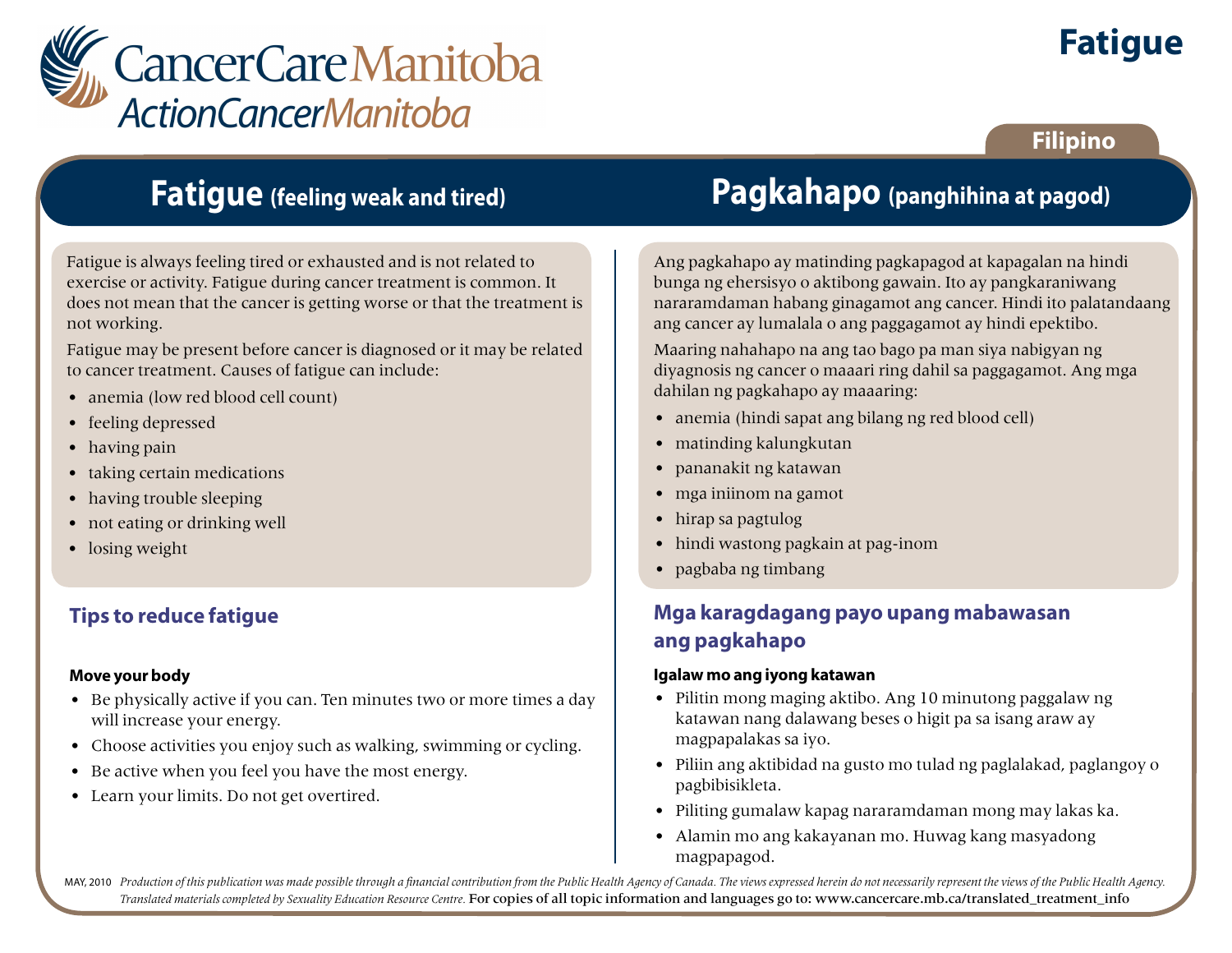

# **Fatigue**

### **Filipino**

## **Fatigue (feeling weak and tired)**

Fatigue is always feeling tired or exhausted and is not related to exercise or activity. Fatigue during cancer treatment is common. It does not mean that the cancer is getting worse or that the treatment is not working.

Fatigue may be present before cancer is diagnosed or it may be related to cancer treatment. Causes of fatigue can include:

- anemia (low red blood cell count)
- feeling depressed
- having pain
- taking certain medications
- having trouble sleeping
- not eating or drinking well
- losing weight

### **Tips to reduce fatigue**

#### **Move your body**

- Be physically active if you can. Ten minutes two or more times a day will increase your energy.
- Choose activities you enjoy such as walking, swimming or cycling.
- Be active when you feel you have the most energy.
- Learn your limits. Do not get overtired.

# **Pagkahapo (panghihina at pagod)**

Ang pagkahapo ay matinding pagkapagod at kapagalan na hindi bunga ng ehersisyo o aktibong gawain. Ito ay pangkaraniwang nararamdaman habang ginagamot ang cancer. Hindi ito palatandaang ang cancer ay lumalala o ang paggagamot ay hindi epektibo.

Maaring nahahapo na ang tao bago pa man siya nabigyan ng diyagnosis ng cancer o maaari ring dahil sa paggagamot. Ang mga dahilan ng pagkahapo ay maaaring:

- anemia (hindi sapat ang bilang ng red blood cell)
- matinding kalungkutan
- pananakit ng katawan
- mga iniinom na gamot
- hirap sa pagtulog
- hindi wastong pagkain at pag-inom
- pagbaba ng timbang

### **Mga karagdagang payo upang mabawasan ang pagkahapo**

#### **Igalaw mo ang iyong katawan**

- Pilitin mong maging aktibo. Ang 10 minutong paggalaw ng katawan nang dalawang beses o higit pa sa isang araw ay magpapalakas sa iyo.
- Piliin ang aktibidad na gusto mo tulad ng paglalakad, paglangoy o pagbibisikleta.
- Piliting gumalaw kapag nararamdaman mong may lakas ka.
- Alamin mo ang kakayanan mo. Huwag kang masyadong magpapagod.

MAY, 2010 Production of this publication was made possible through a financial contribution from the Public Health Agency of Canada. The views expressed herein do not necessarily represent the views of the Public Health Ag *Translated materials completed by Sexuality Education Resource Centre.* For copies of all topic information and languages go to: www.cancercare.mb.ca/translated\_treatment\_info